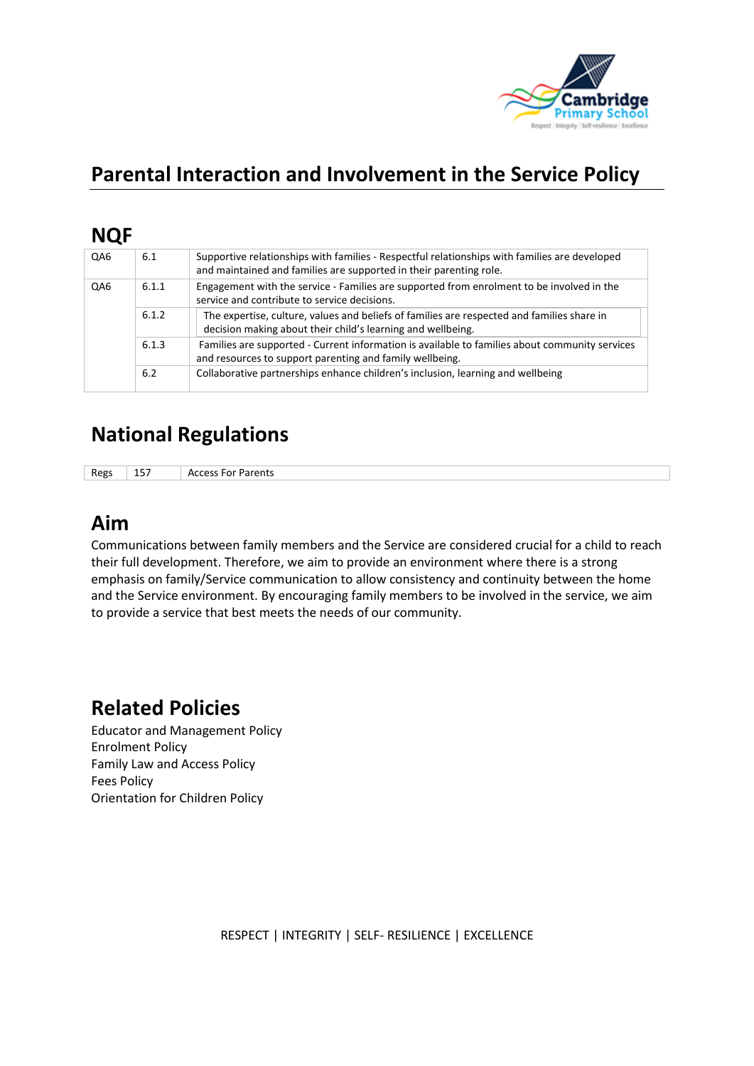

# **Parental Interaction and Involvement in the Service Policy**

### **NQF**

| QA6 | 6.1   | Supportive relationships with families - Respectful relationships with families are developed<br>and maintained and families are supported in their parenting role. |
|-----|-------|---------------------------------------------------------------------------------------------------------------------------------------------------------------------|
| QA6 | 6.1.1 | Engagement with the service - Families are supported from enrolment to be involved in the<br>service and contribute to service decisions.                           |
|     | 6.1.2 | The expertise, culture, values and beliefs of families are respected and families share in<br>decision making about their child's learning and wellbeing.           |
|     | 6.1.3 | Families are supported - Current information is available to families about community services<br>and resources to support parenting and family wellbeing.          |
|     | 6.2   | Collaborative partnerships enhance children's inclusion, learning and wellbeing                                                                                     |

# **National Regulations**

Regs 157 Access For Parents

# **Aim**

Communications between family members and the Service are considered crucial for a child to reach their full development. Therefore, we aim to provide an environment where there is a strong emphasis on family/Service communication to allow consistency and continuity between the home and the Service environment. By encouraging family members to be involved in the service, we aim to provide a service that best meets the needs of our community.

### **Related Policies**

Educator and Management Policy Enrolment Policy Family Law and Access Policy Fees Policy Orientation for Children Policy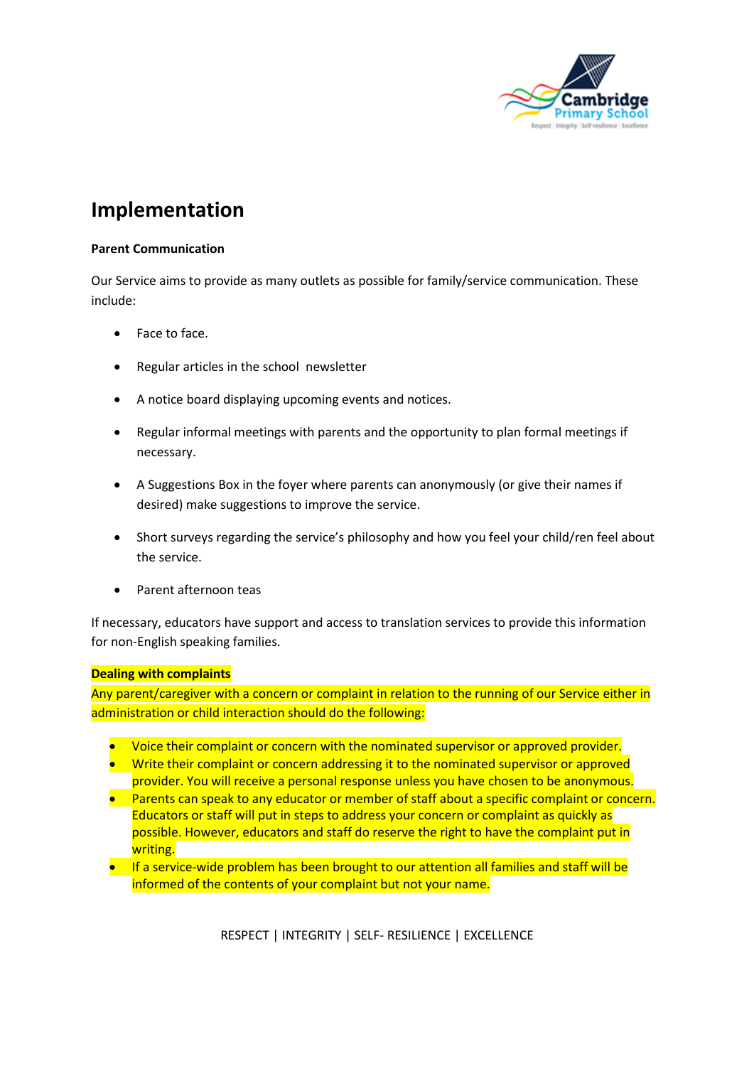

### **Implementation**

#### **Parent Communication**

Our Service aims to provide as many outlets as possible for family/service communication. These include:

- Face to face.
- Regular articles in the school newsletter
- A notice board displaying upcoming events and notices.
- Regular informal meetings with parents and the opportunity to plan formal meetings if necessary.
- A Suggestions Box in the foyer where parents can anonymously (or give their names if desired) make suggestions to improve the service.
- Short surveys regarding the service's philosophy and how you feel your child/ren feel about the service.
- Parent afternoon teas

If necessary, educators have support and access to translation services to provide this information for non-English speaking families.

#### **Dealing with complaints**

Any parent/caregiver with a concern or complaint in relation to the running of our Service either in administration or child interaction should do the following:

- Voice their complaint or concern with the nominated supervisor or approved provider.
- Write their complaint or concern addressing it to the nominated supervisor or approved provider. You will receive a personal response unless you have chosen to be anonymous.
- Parents can speak to any educator or member of staff about a specific complaint or concern. Educators or staff will put in steps to address your concern or complaint as quickly as possible. However, educators and staff do reserve the right to have the complaint put in writing.
- If a service-wide problem has been brought to our attention all families and staff will be informed of the contents of your complaint but not your name.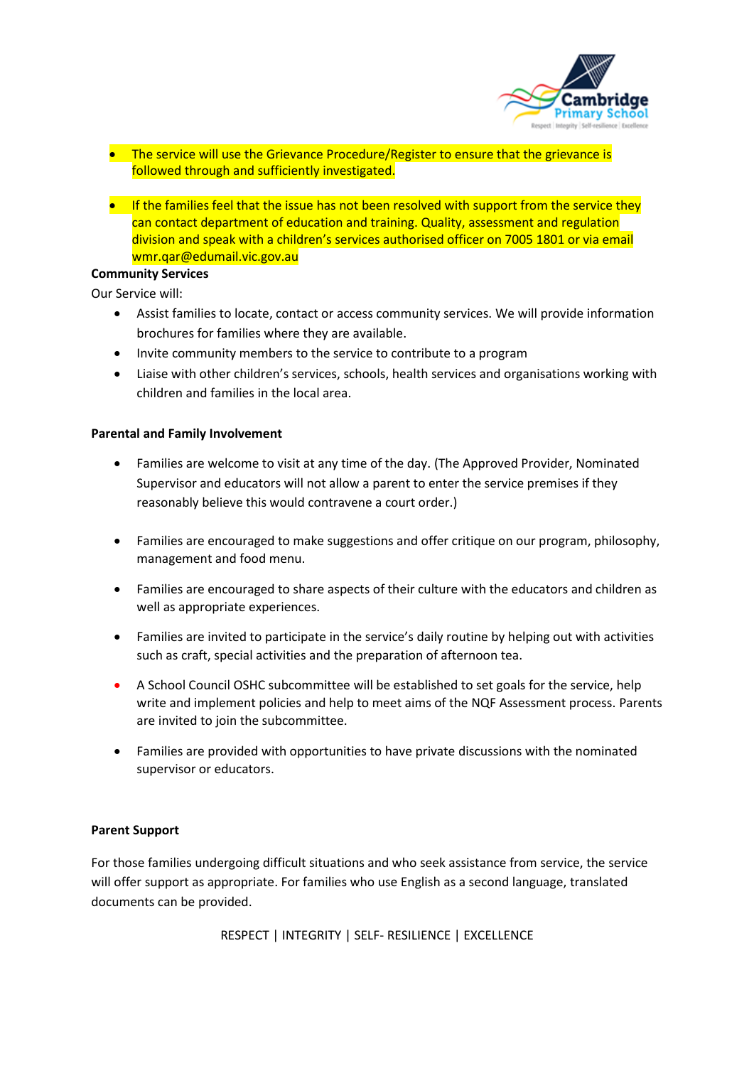

- The service will use the Grievance Procedure/Register to ensure that the grievance is followed through and sufficiently investigated.
- If the families feel that the issue has not been resolved with support from the service they can contact department of education and training. Quality, assessment and regulation division and speak with a children's services authorised officer on 7005 1801 or via email wmr.qar@edumail.vic.gov.au

#### **Community Services**

Our Service will:

- Assist families to locate, contact or access community services. We will provide information brochures for families where they are available.
- Invite community members to the service to contribute to a program
- Liaise with other children's services, schools, health services and organisations working with children and families in the local area.

#### **Parental and Family Involvement**

- Families are welcome to visit at any time of the day. (The Approved Provider, Nominated Supervisor and educators will not allow a parent to enter the service premises if they reasonably believe this would contravene a court order.)
- Families are encouraged to make suggestions and offer critique on our program, philosophy, management and food menu.
- Families are encouraged to share aspects of their culture with the educators and children as well as appropriate experiences.
- Families are invited to participate in the service's daily routine by helping out with activities such as craft, special activities and the preparation of afternoon tea.
- A School Council OSHC subcommittee will be established to set goals for the service, help write and implement policies and help to meet aims of the NQF Assessment process. Parents are invited to join the subcommittee.
- Families are provided with opportunities to have private discussions with the nominated supervisor or educators.

#### **Parent Support**

For those families undergoing difficult situations and who seek assistance from service, the service will offer support as appropriate. For families who use English as a second language, translated documents can be provided.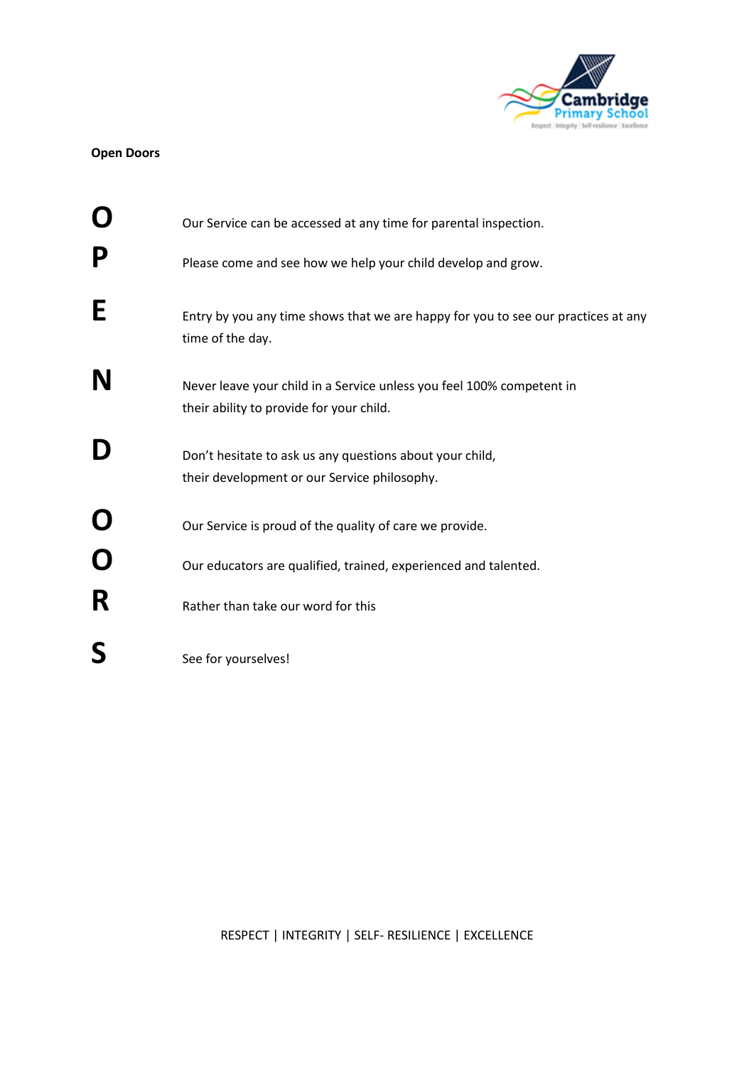

#### **Open Doors**

|                  | Our Service can be accessed at any time for parental inspection.                                                                                                 |  |  |  |
|------------------|------------------------------------------------------------------------------------------------------------------------------------------------------------------|--|--|--|
|                  | Please come and see how we help your child develop and grow.                                                                                                     |  |  |  |
| E                | Entry by you any time shows that we are happy for you to see our practices at any<br>time of the day.                                                            |  |  |  |
| N                | Never leave your child in a Service unless you feel 100% competent in<br>their ability to provide for your child.                                                |  |  |  |
|                  | Don't hesitate to ask us any questions about your child,<br>their development or our Service philosophy.                                                         |  |  |  |
| $\mathbf O$<br>R | Our Service is proud of the quality of care we provide.<br>Our educators are qualified, trained, experienced and talented.<br>Rather than take our word for this |  |  |  |
|                  | See for yourselves!                                                                                                                                              |  |  |  |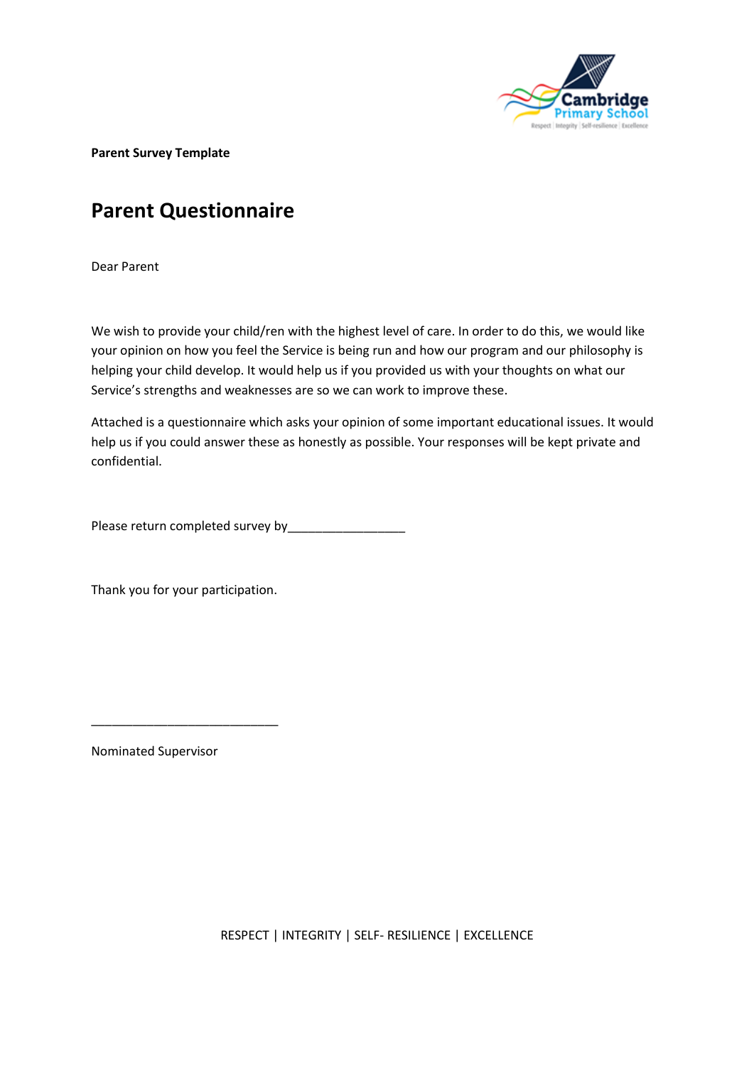

**Parent Survey Template**

# **Parent Questionnaire**

Dear Parent

We wish to provide your child/ren with the highest level of care. In order to do this, we would like your opinion on how you feel the Service is being run and how our program and our philosophy is helping your child develop. It would help us if you provided us with your thoughts on what our Service's strengths and weaknesses are so we can work to improve these.

Attached is a questionnaire which asks your opinion of some important educational issues. It would help us if you could answer these as honestly as possible. Your responses will be kept private and confidential.

Please return completed survey by\_\_\_\_\_\_\_\_\_\_\_\_\_\_\_\_\_

Thank you for your participation.

\_\_\_\_\_\_\_\_\_\_\_\_\_\_\_\_\_\_\_\_\_\_\_\_\_\_\_

Nominated Supervisor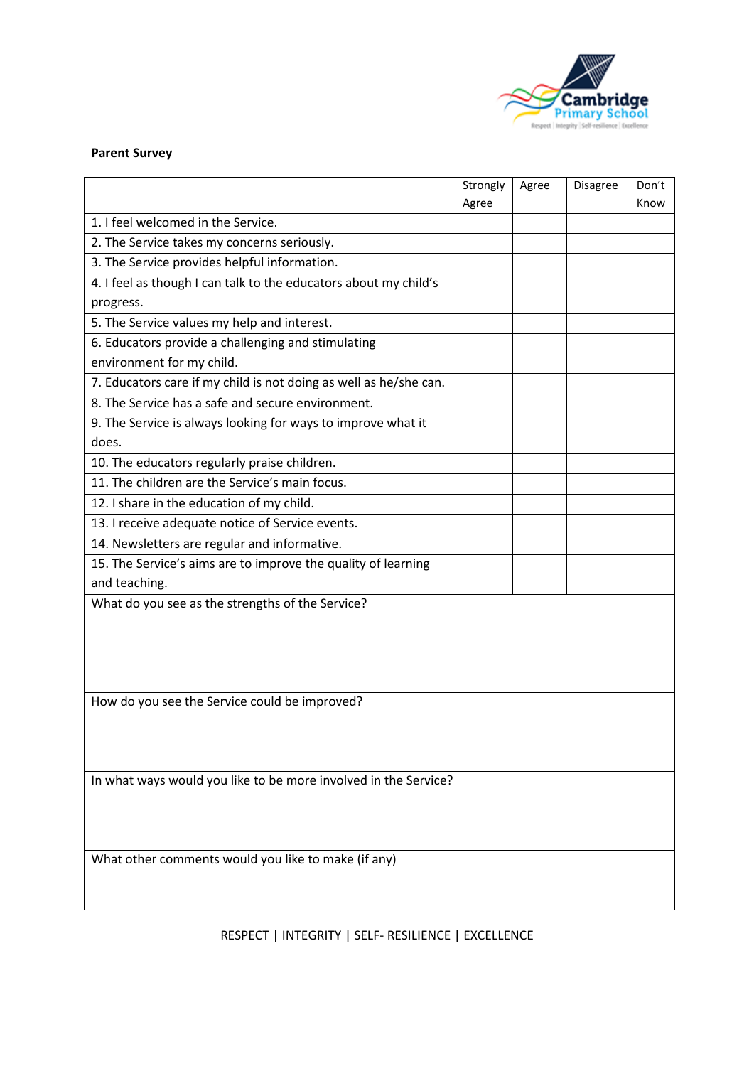

#### **Parent Survey**

|                                                                   | Strongly | Agree | Disagree | Don't |  |  |  |
|-------------------------------------------------------------------|----------|-------|----------|-------|--|--|--|
|                                                                   | Agree    |       |          | Know  |  |  |  |
| 1. I feel welcomed in the Service.                                |          |       |          |       |  |  |  |
| 2. The Service takes my concerns seriously.                       |          |       |          |       |  |  |  |
| 3. The Service provides helpful information.                      |          |       |          |       |  |  |  |
| 4. I feel as though I can talk to the educators about my child's  |          |       |          |       |  |  |  |
| progress.                                                         |          |       |          |       |  |  |  |
| 5. The Service values my help and interest.                       |          |       |          |       |  |  |  |
| 6. Educators provide a challenging and stimulating                |          |       |          |       |  |  |  |
| environment for my child.                                         |          |       |          |       |  |  |  |
| 7. Educators care if my child is not doing as well as he/she can. |          |       |          |       |  |  |  |
| 8. The Service has a safe and secure environment.                 |          |       |          |       |  |  |  |
| 9. The Service is always looking for ways to improve what it      |          |       |          |       |  |  |  |
| does.                                                             |          |       |          |       |  |  |  |
| 10. The educators regularly praise children.                      |          |       |          |       |  |  |  |
| 11. The children are the Service's main focus.                    |          |       |          |       |  |  |  |
| 12. I share in the education of my child.                         |          |       |          |       |  |  |  |
| 13. I receive adequate notice of Service events.                  |          |       |          |       |  |  |  |
| 14. Newsletters are regular and informative.                      |          |       |          |       |  |  |  |
| 15. The Service's aims are to improve the quality of learning     |          |       |          |       |  |  |  |
| and teaching.                                                     |          |       |          |       |  |  |  |
| What do you see as the strengths of the Service?                  |          |       |          |       |  |  |  |
|                                                                   |          |       |          |       |  |  |  |
|                                                                   |          |       |          |       |  |  |  |
|                                                                   |          |       |          |       |  |  |  |
|                                                                   |          |       |          |       |  |  |  |
| How do you see the Service could be improved?                     |          |       |          |       |  |  |  |
|                                                                   |          |       |          |       |  |  |  |
|                                                                   |          |       |          |       |  |  |  |
|                                                                   |          |       |          |       |  |  |  |
| In what ways would you like to be more involved in the Service?   |          |       |          |       |  |  |  |
|                                                                   |          |       |          |       |  |  |  |
|                                                                   |          |       |          |       |  |  |  |
|                                                                   |          |       |          |       |  |  |  |
| What other comments would you like to make (if any)               |          |       |          |       |  |  |  |
|                                                                   |          |       |          |       |  |  |  |
|                                                                   |          |       |          |       |  |  |  |